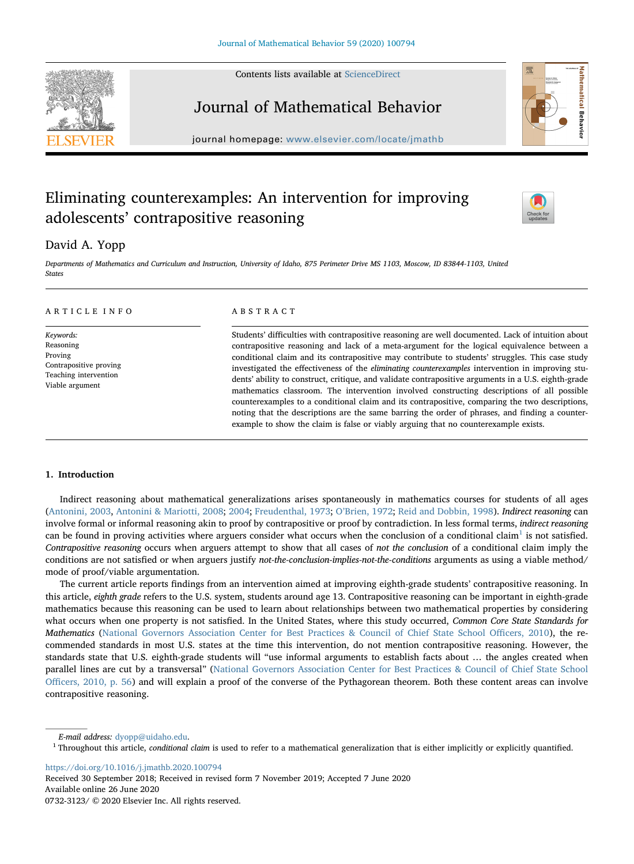Contents lists available at [ScienceDirect](http://www.sciencedirect.com/science/journal/07323123)





# Journal of Mathematical Behavior

journal homepage: [www.elsevier.com/locate/jmathb](https://www.elsevier.com/locate/jmathb)

## Eliminating counterexamples: An intervention for improving adolescents' contrapositive reasoning



## David A. Yopp

Departments of Mathematics and Curriculum and Instruction, University of Idaho, 875 Perimeter Drive MS 1103, Moscow, ID 83844-1103, United States

## ARTICLE INFO

Keywords: Reasoning Proving Contrapositive proving Teaching intervention Viable argument

## ABSTRACT

Students' difficulties with contrapositive reasoning are well documented. Lack of intuition about contrapositive reasoning and lack of a meta-argument for the logical equivalence between a conditional claim and its contrapositive may contribute to students' struggles. This case study investigated the effectiveness of the eliminating counterexamples intervention in improving students' ability to construct, critique, and validate contrapositive arguments in a U.S. eighth-grade mathematics classroom. The intervention involved constructing descriptions of all possible counterexamples to a conditional claim and its contrapositive, comparing the two descriptions, noting that the descriptions are the same barring the order of phrases, and finding a counterexample to show the claim is false or viably arguing that no counterexample exists.

### 1. Introduction

Indirect reasoning about mathematical generalizations arises spontaneously in mathematics courses for students of all ages ([Antonini, 2003](#page-15-0), [Antonini & Mariotti, 2008;](#page-15-1) [2004](#page-15-2); [Freudenthal, 1973;](#page-15-3) O'[Brien, 1972](#page-15-4); [Reid and Dobbin, 1998\)](#page-15-5). Indirect reasoning can involve formal or informal reasoning akin to proof by contrapositive or proof by contradiction. In less formal terms, indirect reasoning can be found in proving activities where arguers consider what occurs when the conclusion of a conditional claim<sup>[1](#page-0-0)</sup> is not satisfied. Contrapositive reasoning occurs when arguers attempt to show that all cases of not the conclusion of a conditional claim imply the conditions are not satisfied or when arguers justify not-the-conclusion-implies-not-the-conditions arguments as using a viable method/ mode of proof/viable argumentation.

The current article reports findings from an intervention aimed at improving eighth-grade students' contrapositive reasoning. In this article, eighth grade refers to the U.S. system, students around age 13. Contrapositive reasoning can be important in eighth-grade mathematics because this reasoning can be used to learn about relationships between two mathematical properties by considering what occurs when one property is not satisfied. In the United States, where this study occurred, Common Core State Standards for Mathematics ([National Governors Association Center for Best Practices & Council of Chief State School O](#page-15-6)fficers, 2010), the recommended standards in most U.S. states at the time this intervention, do not mention contrapositive reasoning. However, the standards state that U.S. eighth-grade students will "use informal arguments to establish facts about … the angles created when parallel lines are cut by a transversal" [\(National Governors Association Center for Best Practices & Council of Chief State School](#page-15-6) Offi[cers, 2010, p. 56](#page-15-6)) and will explain a proof of the converse of the Pythagorean theorem. Both these content areas can involve contrapositive reasoning.

<https://doi.org/10.1016/j.jmathb.2020.100794>

Received 30 September 2018; Received in revised form 7 November 2019; Accepted 7 June 2020 Available online 26 June 2020 0732-3123/ © 2020 Elsevier Inc. All rights reserved.

E-mail address: [dyopp@uidaho.edu](mailto:dyopp@uidaho.edu).

<span id="page-0-0"></span><sup>&</sup>lt;sup>1</sup> Throughout this article, conditional claim is used to refer to a mathematical generalization that is either implicitly or explicitly quantified.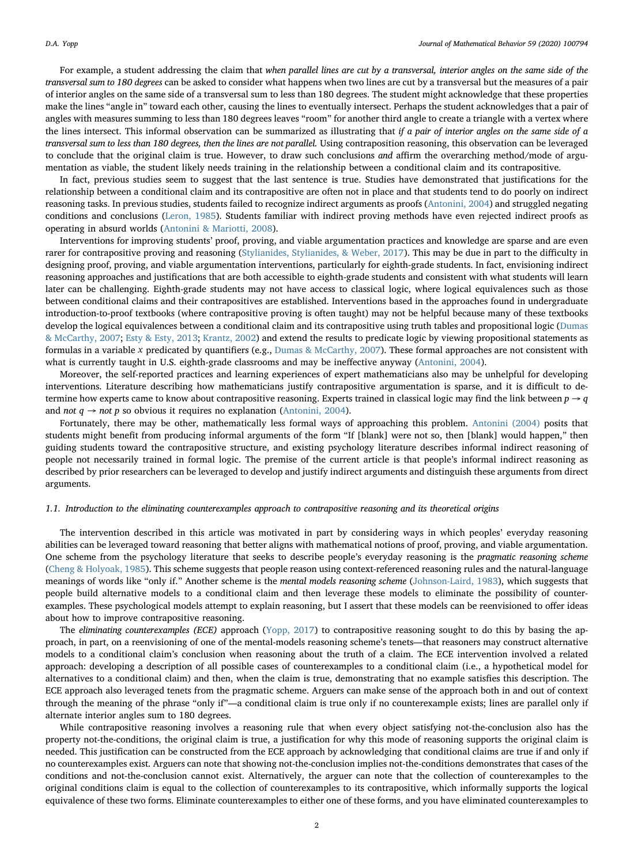For example, a student addressing the claim that when parallel lines are cut by a transversal, interior angles on the same side of the transversal sum to 180 degrees can be asked to consider what happens when two lines are cut by a transversal but the measures of a pair of interior angles on the same side of a transversal sum to less than 180 degrees. The student might acknowledge that these properties make the lines "angle in" toward each other, causing the lines to eventually intersect. Perhaps the student acknowledges that a pair of angles with measures summing to less than 180 degrees leaves "room" for another third angle to create a triangle with a vertex where the lines intersect. This informal observation can be summarized as illustrating that if a pair of interior angles on the same side of  $a$ transversal sum to less than 180 degrees, then the lines are not parallel. Using contraposition reasoning, this observation can be leveraged to conclude that the original claim is true. However, to draw such conclusions and affirm the overarching method/mode of argumentation as viable, the student likely needs training in the relationship between a conditional claim and its contrapositive.

In fact, previous studies seem to suggest that the last sentence is true. Studies have demonstrated that justifications for the relationship between a conditional claim and its contrapositive are often not in place and that students tend to do poorly on indirect reasoning tasks. In previous studies, students failed to recognize indirect arguments as proofs ([Antonini, 2004](#page-15-2)) and struggled negating conditions and conclusions ([Leron, 1985](#page-15-7)). Students familiar with indirect proving methods have even rejected indirect proofs as operating in absurd worlds ([Antonini & Mariotti, 2008](#page-15-1)).

Interventions for improving students' proof, proving, and viable argumentation practices and knowledge are sparse and are even rarer for contrapositive proving and reasoning ([Stylianides, Stylianides, & Weber, 2017](#page-15-8)). This may be due in part to the difficulty in designing proof, proving, and viable argumentation interventions, particularly for eighth-grade students. In fact, envisioning indirect reasoning approaches and justifications that are both accessible to eighth-grade students and consistent with what students will learn later can be challenging. Eighth-grade students may not have access to classical logic, where logical equivalences such as those between conditional claims and their contrapositives are established. Interventions based in the approaches found in undergraduate introduction-to-proof textbooks (where contrapositive proving is often taught) may not be helpful because many of these textbooks develop the logical equivalences between a conditional claim and its contrapositive using truth tables and propositional logic [\(Dumas](#page-15-9) [& McCarthy, 2007;](#page-15-9) [Esty & Esty, 2013;](#page-15-10) [Krantz, 2002\)](#page-15-11) and extend the results to predicate logic by viewing propositional statements as formulas in a variable *x* predicated by quantifiers (e.g., [Dumas & McCarthy, 2007](#page-15-9)). These formal approaches are not consistent with what is currently taught in U.S. eighth-grade classrooms and may be ineffective anyway [\(Antonini, 2004](#page-15-2)).

Moreover, the self-reported practices and learning experiences of expert mathematicians also may be unhelpful for developing interventions. Literature describing how mathematicians justify contrapositive argumentation is sparse, and it is difficult to determine how experts came to know about contrapositive reasoning. Experts trained in classical logic may find the link between  $p \rightarrow q$ and *not*  $q \rightarrow not p$  so obvious it requires no explanation [\(Antonini, 2004\)](#page-15-2).

Fortunately, there may be other, mathematically less formal ways of approaching this problem. [Antonini \(2004\)](#page-15-2) posits that students might benefit from producing informal arguments of the form "If [blank] were not so, then [blank] would happen," then guiding students toward the contrapositive structure, and existing psychology literature describes informal indirect reasoning of people not necessarily trained in formal logic. The premise of the current article is that people's informal indirect reasoning as described by prior researchers can be leveraged to develop and justify indirect arguments and distinguish these arguments from direct arguments.

#### 1.1. Introduction to the eliminating counterexamples approach to contrapositive reasoning and its theoretical origins

The intervention described in this article was motivated in part by considering ways in which peoples' everyday reasoning abilities can be leveraged toward reasoning that better aligns with mathematical notions of proof, proving, and viable argumentation. One scheme from the psychology literature that seeks to describe people's everyday reasoning is the pragmatic reasoning scheme ([Cheng & Holyoak, 1985](#page-15-12)). This scheme suggests that people reason using context-referenced reasoning rules and the natural-language meanings of words like "only if." Another scheme is the mental models reasoning scheme ([Johnson-Laird, 1983\)](#page-15-13), which suggests that people build alternative models to a conditional claim and then leverage these models to eliminate the possibility of counterexamples. These psychological models attempt to explain reasoning, but I assert that these models can be reenvisioned to offer ideas about how to improve contrapositive reasoning.

The eliminating counterexamples (ECE) approach ([Yopp, 2017](#page-15-14)) to contrapositive reasoning sought to do this by basing the approach, in part, on a reenvisioning of one of the mental-models reasoning scheme's tenets—that reasoners may construct alternative models to a conditional claim's conclusion when reasoning about the truth of a claim. The ECE intervention involved a related approach: developing a description of all possible cases of counterexamples to a conditional claim (i.e., a hypothetical model for alternatives to a conditional claim) and then, when the claim is true, demonstrating that no example satisfies this description. The ECE approach also leveraged tenets from the pragmatic scheme. Arguers can make sense of the approach both in and out of context through the meaning of the phrase "only if"—a conditional claim is true only if no counterexample exists; lines are parallel only if alternate interior angles sum to 180 degrees.

While contrapositive reasoning involves a reasoning rule that when every object satisfying not-the-conclusion also has the property not-the-conditions, the original claim is true, a justification for why this mode of reasoning supports the original claim is needed. This justification can be constructed from the ECE approach by acknowledging that conditional claims are true if and only if no counterexamples exist. Arguers can note that showing not-the-conclusion implies not-the-conditions demonstrates that cases of the conditions and not-the-conclusion cannot exist. Alternatively, the arguer can note that the collection of counterexamples to the original conditions claim is equal to the collection of counterexamples to its contrapositive, which informally supports the logical equivalence of these two forms. Eliminate counterexamples to either one of these forms, and you have eliminated counterexamples to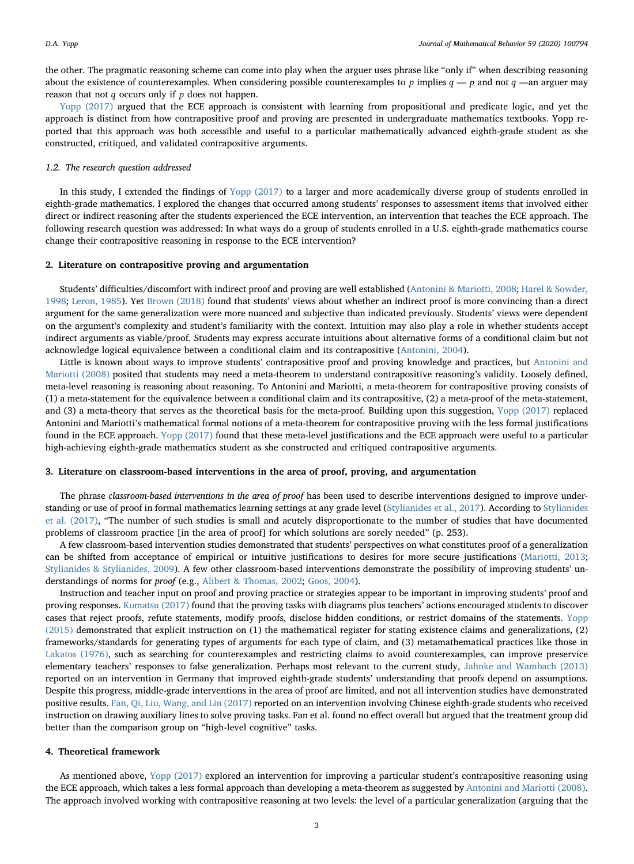the other. The pragmatic reasoning scheme can come into play when the arguer uses phrase like "only if" when describing reasoning about the existence of counterexamples. When considering possible counterexamples to  $p$  implies  $q - p$  and not  $q -$ an arguer may reason that not *q* occurs only if *p* does not happen.

[Yopp \(2017\)](#page-15-14) argued that the ECE approach is consistent with learning from propositional and predicate logic, and yet the approach is distinct from how contrapositive proof and proving are presented in undergraduate mathematics textbooks. Yopp reported that this approach was both accessible and useful to a particular mathematically advanced eighth-grade student as she constructed, critiqued, and validated contrapositive arguments.

#### 1.2. The research question addressed

In this study, I extended the findings of [Yopp \(2017\)](#page-15-14) to a larger and more academically diverse group of students enrolled in eighth-grade mathematics. I explored the changes that occurred among students' responses to assessment items that involved either direct or indirect reasoning after the students experienced the ECE intervention, an intervention that teaches the ECE approach. The following research question was addressed: In what ways do a group of students enrolled in a U.S. eighth-grade mathematics course change their contrapositive reasoning in response to the ECE intervention?

## 2. Literature on contrapositive proving and argumentation

Students' difficulties/discomfort with indirect proof and proving are well established ([Antonini & Mariotti, 2008;](#page-15-1) [Harel & Sowder,](#page-15-15) [1998;](#page-15-15) [Leron, 1985](#page-15-7)). Yet [Brown \(2018\)](#page-15-16) found that students' views about whether an indirect proof is more convincing than a direct argument for the same generalization were more nuanced and subjective than indicated previously. Students' views were dependent on the argument's complexity and student's familiarity with the context. Intuition may also play a role in whether students accept indirect arguments as viable/proof. Students may express accurate intuitions about alternative forms of a conditional claim but not acknowledge logical equivalence between a conditional claim and its contrapositive [\(Antonini, 2004\)](#page-15-2).

Little is known about ways to improve students' contrapositive proof and proving knowledge and practices, but [Antonini and](#page-15-1) [Mariotti \(2008\)](#page-15-1) posited that students may need a meta-theorem to understand contrapositive reasoning's validity. Loosely defined, meta-level reasoning is reasoning about reasoning. To Antonini and Mariotti, a meta-theorem for contrapositive proving consists of (1) a meta-statement for the equivalence between a conditional claim and its contrapositive, (2) a meta-proof of the meta-statement, and (3) a meta-theory that serves as the theoretical basis for the meta-proof. Building upon this suggestion, [Yopp \(2017\)](#page-15-14) replaced Antonini and Mariotti's mathematical formal notions of a meta-theorem for contrapositive proving with the less formal justifications found in the ECE approach. [Yopp \(2017\)](#page-15-14) found that these meta-level justifications and the ECE approach were useful to a particular high-achieving eighth-grade mathematics student as she constructed and critiqued contrapositive arguments.

## 3. Literature on classroom-based interventions in the area of proof, proving, and argumentation

The phrase classroom-based interventions in the area of proof has been used to describe interventions designed to improve understanding or use of proof in formal mathematics learning settings at any grade level ([Stylianides et al., 2017\)](#page-15-8). According to [Stylianides](#page-15-8) [et al. \(2017\)](#page-15-8), "The number of such studies is small and acutely disproportionate to the number of studies that have documented problems of classroom practice [in the area of proof] for which solutions are sorely needed" (p. 253).

A few classroom-based intervention studies demonstrated that students' perspectives on what constitutes proof of a generalization can be shifted from acceptance of empirical or intuitive justifications to desires for more secure justifications [\(Mariotti, 2013;](#page-15-17) [Stylianides & Stylianides, 2009\)](#page-15-18). A few other classroom-based interventions demonstrate the possibility of improving students' understandings of norms for proof (e.g., [Alibert & Thomas, 2002;](#page-15-19) [Goos, 2004\)](#page-15-20).

Instruction and teacher input on proof and proving practice or strategies appear to be important in improving students' proof and proving responses. [Komatsu \(2017\)](#page-15-21) found that the proving tasks with diagrams plus teachers' actions encouraged students to discover cases that reject proofs, refute statements, modify proofs, disclose hidden conditions, or restrict domains of the statements. [Yopp](#page-15-22) [\(2015\)](#page-15-22) demonstrated that explicit instruction on (1) the mathematical register for stating existence claims and generalizations, (2) frameworks/standards for generating types of arguments for each type of claim, and (3) metamathematical practices like those in [Lakatos \(1976\)](#page-15-23), such as searching for counterexamples and restricting claims to avoid counterexamples, can improve preservice elementary teachers' responses to false generalization. Perhaps most relevant to the current study, [Jahnke and Wambach \(2013\)](#page-15-24) reported on an intervention in Germany that improved eighth-grade students' understanding that proofs depend on assumptions. Despite this progress, middle-grade interventions in the area of proof are limited, and not all intervention studies have demonstrated positive results. [Fan, Qi, Liu, Wang, and Lin \(2017\)](#page-15-25) reported on an intervention involving Chinese eighth-grade students who received instruction on drawing auxiliary lines to solve proving tasks. Fan et al. found no effect overall but argued that the treatment group did better than the comparison group on "high-level cognitive" tasks.

#### 4. Theoretical framework

As mentioned above, [Yopp \(2017\)](#page-15-14) explored an intervention for improving a particular student's contrapositive reasoning using the ECE approach, which takes a less formal approach than developing a meta-theorem as suggested by [Antonini and Mariotti \(2008\).](#page-15-1) The approach involved working with contrapositive reasoning at two levels: the level of a particular generalization (arguing that the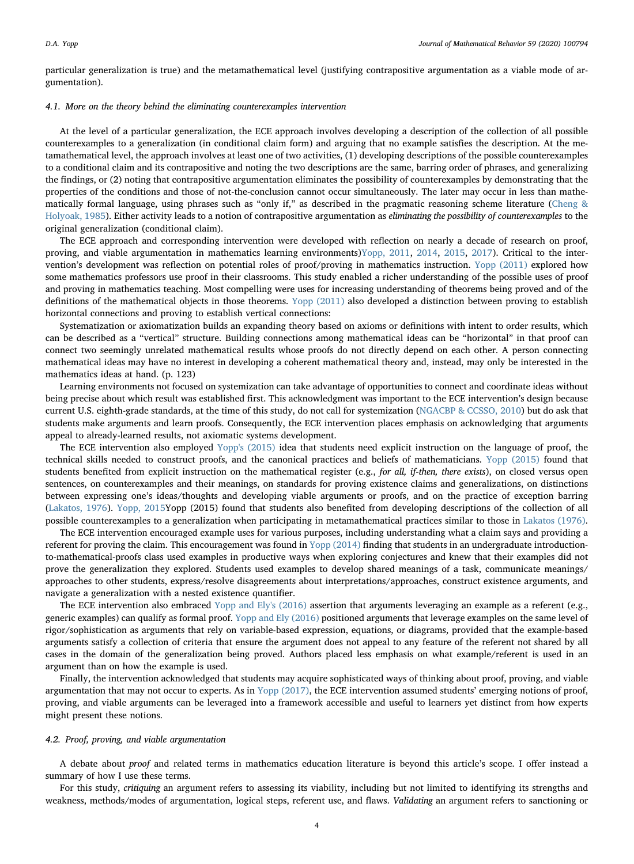particular generalization is true) and the metamathematical level (justifying contrapositive argumentation as a viable mode of argumentation).

#### 4.1. More on the theory behind the eliminating counterexamples intervention

At the level of a particular generalization, the ECE approach involves developing a description of the collection of all possible counterexamples to a generalization (in conditional claim form) and arguing that no example satisfies the description. At the metamathematical level, the approach involves at least one of two activities, (1) developing descriptions of the possible counterexamples to a conditional claim and its contrapositive and noting the two descriptions are the same, barring order of phrases, and generalizing the findings, or (2) noting that contrapositive argumentation eliminates the possibility of counterexamples by demonstrating that the properties of the conditions and those of not-the-conclusion cannot occur simultaneously. The later may occur in less than mathematically formal language, using phrases such as "only if," as described in the pragmatic reasoning scheme literature [\(Cheng &](#page-15-12) [Holyoak, 1985\)](#page-15-12). Either activity leads to a notion of contrapositive argumentation as eliminating the possibility of counterexamples to the original generalization (conditional claim).

The ECE approach and corresponding intervention were developed with reflection on nearly a decade of research on proof, proving, and viable argumentation in mathematics learning environments)[Yopp, 2011](#page-15-26), [2014,](#page-15-27) [2015,](#page-15-22) [2017](#page-15-14)). Critical to the intervention's development was reflection on potential roles of proof/proving in mathematics instruction. [Yopp \(2011\)](#page-15-26) explored how some mathematics professors use proof in their classrooms. This study enabled a richer understanding of the possible uses of proof and proving in mathematics teaching. Most compelling were uses for increasing understanding of theorems being proved and of the definitions of the mathematical objects in those theorems. [Yopp \(2011\)](#page-15-26) also developed a distinction between proving to establish horizontal connections and proving to establish vertical connections:

Systematization or axiomatization builds an expanding theory based on axioms or definitions with intent to order results, which can be described as a "vertical" structure. Building connections among mathematical ideas can be "horizontal" in that proof can connect two seemingly unrelated mathematical results whose proofs do not directly depend on each other. A person connecting mathematical ideas may have no interest in developing a coherent mathematical theory and, instead, may only be interested in the mathematics ideas at hand. (p. 123)

Learning environments not focused on systemization can take advantage of opportunities to connect and coordinate ideas without being precise about which result was established first. This acknowledgment was important to the ECE intervention's design because current U.S. eighth-grade standards, at the time of this study, do not call for systemization [\(NGACBP & CCSSO, 2010\)](#page-15-6) but do ask that students make arguments and learn proofs. Consequently, the ECE intervention places emphasis on acknowledging that arguments appeal to already-learned results, not axiomatic systems development.

The ECE intervention also employed [Yopp's \(2015\)](#page-15-22) idea that students need explicit instruction on the language of proof, the technical skills needed to construct proofs, and the canonical practices and beliefs of mathematicians. [Yopp \(2015\)](#page-15-22) found that students benefited from explicit instruction on the mathematical register (e.g., for all, if-then, there exists), on closed versus open sentences, on counterexamples and their meanings, on standards for proving existence claims and generalizations, on distinctions between expressing one's ideas/thoughts and developing viable arguments or proofs, and on the practice of exception barring ([Lakatos, 1976](#page-15-23)). [Yopp, 2015](#page-15-22)Yopp (2015) found that students also benefited from developing descriptions of the collection of all possible counterexamples to a generalization when participating in metamathematical practices similar to those in [Lakatos \(1976\).](#page-15-23)

The ECE intervention encouraged example uses for various purposes, including understanding what a claim says and providing a referent for proving the claim. This encouragement was found in [Yopp \(2014\)](#page-15-27) finding that students in an undergraduate introductionto-mathematical-proofs class used examples in productive ways when exploring conjectures and knew that their examples did not prove the generalization they explored. Students used examples to develop shared meanings of a task, communicate meanings/ approaches to other students, express/resolve disagreements about interpretations/approaches, construct existence arguments, and navigate a generalization with a nested existence quantifier.

The ECE intervention also embraced [Yopp and Ely's \(2016\)](#page-15-28) assertion that arguments leveraging an example as a referent (e.g., generic examples) can qualify as formal proof. [Yopp and Ely \(2016\)](#page-15-28) positioned arguments that leverage examples on the same level of rigor/sophistication as arguments that rely on variable-based expression, equations, or diagrams, provided that the example-based arguments satisfy a collection of criteria that ensure the argument does not appeal to any feature of the referent not shared by all cases in the domain of the generalization being proved. Authors placed less emphasis on what example/referent is used in an argument than on how the example is used.

Finally, the intervention acknowledged that students may acquire sophisticated ways of thinking about proof, proving, and viable argumentation that may not occur to experts. As in [Yopp \(2017\),](#page-15-14) the ECE intervention assumed students' emerging notions of proof, proving, and viable arguments can be leveraged into a framework accessible and useful to learners yet distinct from how experts might present these notions.

#### 4.2. Proof, proving, and viable argumentation

A debate about proof and related terms in mathematics education literature is beyond this article's scope. I offer instead a summary of how I use these terms.

For this study, critiquing an argument refers to assessing its viability, including but not limited to identifying its strengths and weakness, methods/modes of argumentation, logical steps, referent use, and flaws. Validating an argument refers to sanctioning or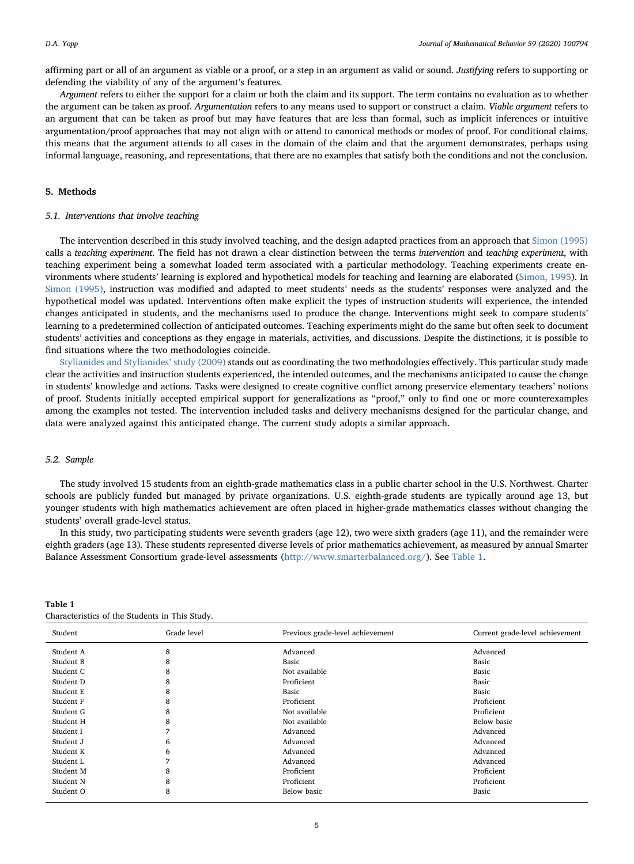affirming part or all of an argument as viable or a proof, or a step in an argument as valid or sound. Justifying refers to supporting or defending the viability of any of the argument's features.

Argument refers to either the support for a claim or both the claim and its support. The term contains no evaluation as to whether the argument can be taken as proof. Argumentation refers to any means used to support or construct a claim. Viable argument refers to an argument that can be taken as proof but may have features that are less than formal, such as implicit inferences or intuitive argumentation/proof approaches that may not align with or attend to canonical methods or modes of proof. For conditional claims, this means that the argument attends to all cases in the domain of the claim and that the argument demonstrates, perhaps using informal language, reasoning, and representations, that there are no examples that satisfy both the conditions and not the conclusion.

## 5. Methods

## 5.1. Interventions that involve teaching

The intervention described in this study involved teaching, and the design adapted practices from an approach that [Simon \(1995\)](#page-15-29) calls a teaching experiment. The field has not drawn a clear distinction between the terms intervention and teaching experiment, with teaching experiment being a somewhat loaded term associated with a particular methodology. Teaching experiments create environments where students' learning is explored and hypothetical models for teaching and learning are elaborated [\(Simon, 1995\)](#page-15-29). In [Simon \(1995\),](#page-15-29) instruction was modified and adapted to meet students' needs as the students' responses were analyzed and the hypothetical model was updated. Interventions often make explicit the types of instruction students will experience, the intended changes anticipated in students, and the mechanisms used to produce the change. Interventions might seek to compare students' learning to a predetermined collection of anticipated outcomes. Teaching experiments might do the same but often seek to document students' activities and conceptions as they engage in materials, activities, and discussions. Despite the distinctions, it is possible to find situations where the two methodologies coincide.

[Stylianides and Stylianides](#page-15-18)' study (2009) stands out as coordinating the two methodologies effectively. This particular study made clear the activities and instruction students experienced, the intended outcomes, and the mechanisms anticipated to cause the change in students' knowledge and actions. Tasks were designed to create cognitive conflict among preservice elementary teachers' notions of proof. Students initially accepted empirical support for generalizations as "proof," only to find one or more counterexamples among the examples not tested. The intervention included tasks and delivery mechanisms designed for the particular change, and data were analyzed against this anticipated change. The current study adopts a similar approach.

#### 5.2. Sample

The study involved 15 students from an eighth-grade mathematics class in a public charter school in the U.S. Northwest. Charter schools are publicly funded but managed by private organizations. U.S. eighth-grade students are typically around age 13, but younger students with high mathematics achievement are often placed in higher-grade mathematics classes without changing the students' overall grade-level status.

In this study, two participating students were seventh graders (age 12), two were sixth graders (age 11), and the remainder were eighth graders (age 13). These students represented diverse levels of prior mathematics achievement, as measured by annual Smarter Balance Assessment Consortium grade-level assessments [\(http://www.smarterbalanced.org/\)](http://www.smarterbalanced.org/). See [Table 1](#page-4-0).

| Student   | Grade level    | Previous grade-level achievement | Current grade-level achievement |
|-----------|----------------|----------------------------------|---------------------------------|
| Student A | 8              | Advanced                         | Advanced                        |
| Student B | 8              | Basic                            | Basic                           |
| Student C | 8              | Not available                    | Basic                           |
| Student D | 8              | Proficient                       | Basic                           |
| Student E | 8              | Basic                            | Basic                           |
| Student F | 8              | Proficient                       | Proficient                      |
| Student G | 8              | Not available                    | Proficient                      |
| Student H | 8              | Not available                    | Below basic                     |
| Student I |                | Advanced                         | Advanced                        |
| Student J | 6              | Advanced                         | Advanced                        |
| Student K | 6              | Advanced                         | Advanced                        |
| Student L | $\overline{ }$ | Advanced                         | Advanced                        |
| Student M | 8              | Proficient                       | Proficient                      |
| Student N | 8              | Proficient                       | Proficient                      |
| Student O | 8              | Below basic                      | Basic                           |

## <span id="page-4-0"></span>Table 1 Characteristics of the Students in This Study.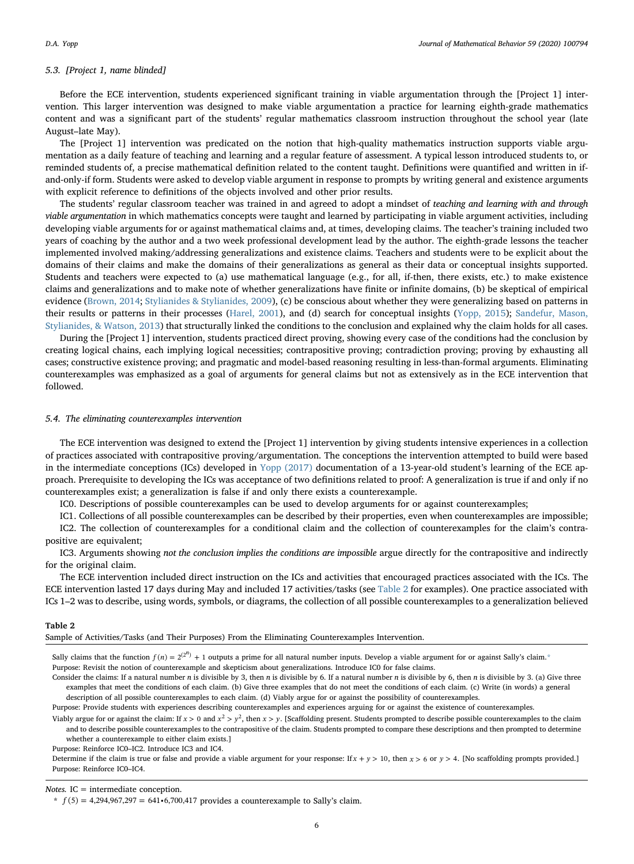## 5.3. [Project 1, name blinded]

Before the ECE intervention, students experienced significant training in viable argumentation through the [Project 1] intervention. This larger intervention was designed to make viable argumentation a practice for learning eighth-grade mathematics content and was a significant part of the students' regular mathematics classroom instruction throughout the school year (late August–late May).

The [Project 1] intervention was predicated on the notion that high-quality mathematics instruction supports viable argumentation as a daily feature of teaching and learning and a regular feature of assessment. A typical lesson introduced students to, or reminded students of, a precise mathematical definition related to the content taught. Definitions were quantified and written in ifand-only-if form. Students were asked to develop viable argument in response to prompts by writing general and existence arguments with explicit reference to definitions of the objects involved and other prior results.

The students' regular classroom teacher was trained in and agreed to adopt a mindset of teaching and learning with and through viable argumentation in which mathematics concepts were taught and learned by participating in viable argument activities, including developing viable arguments for or against mathematical claims and, at times, developing claims. The teacher's training included two years of coaching by the author and a two week professional development lead by the author. The eighth-grade lessons the teacher implemented involved making/addressing generalizations and existence claims. Teachers and students were to be explicit about the domains of their claims and make the domains of their generalizations as general as their data or conceptual insights supported. Students and teachers were expected to (a) use mathematical language (e.g., for all, if-then, there exists, etc.) to make existence claims and generalizations and to make note of whether generalizations have finite or infinite domains, (b) be skeptical of empirical evidence [\(Brown, 2014](#page-15-30); [Stylianides & Stylianides, 2009\)](#page-15-18), (c) be conscious about whether they were generalizing based on patterns in their results or patterns in their processes [\(Harel, 2001](#page-15-31)), and (d) search for conceptual insights ([Yopp, 2015\)](#page-15-22); [Sandefur, Mason,](#page-15-32) [Stylianides, & Watson, 2013\)](#page-15-32) that structurally linked the conditions to the conclusion and explained why the claim holds for all cases.

During the [Project 1] intervention, students practiced direct proving, showing every case of the conditions had the conclusion by creating logical chains, each implying logical necessities; contrapositive proving; contradiction proving; proving by exhausting all cases; constructive existence proving; and pragmatic and model-based reasoning resulting in less-than-formal arguments. Eliminating counterexamples was emphasized as a goal of arguments for general claims but not as extensively as in the ECE intervention that followed.

#### 5.4. The eliminating counterexamples intervention

The ECE intervention was designed to extend the [Project 1] intervention by giving students intensive experiences in a collection of practices associated with contrapositive proving/argumentation. The conceptions the intervention attempted to build were based in the intermediate conceptions (ICs) developed in [Yopp \(2017\)](#page-15-14) documentation of a 13-year-old student's learning of the ECE approach. Prerequisite to developing the ICs was acceptance of two definitions related to proof: A generalization is true if and only if no counterexamples exist; a generalization is false if and only there exists a counterexample.

IC0. Descriptions of possible counterexamples can be used to develop arguments for or against counterexamples;

IC1. Collections of all possible counterexamples can be described by their properties, even when counterexamples are impossible; IC2. The collection of counterexamples for a conditional claim and the collection of counterexamples for the claim's contrapositive are equivalent;

IC3. Arguments showing not the conclusion implies the conditions are impossible argue directly for the contrapositive and indirectly for the original claim.

The ECE intervention included direct instruction on the ICs and activities that encouraged practices associated with the ICs. The ECE intervention lasted 17 days during May and included 17 activities/tasks (see [Table 2](#page-5-0) for examples). One practice associated with ICs 1–2 was to describe, using words, symbols, or diagrams, the collection of all possible counterexamples to a generalization believed

#### <span id="page-5-0"></span>Table 2

Sample of Activities/Tasks (and Their Purposes) From the Eliminating Counterexamples Intervention.

Sally claims that the function  $f(n) = 2^{(2^n)} + 1$  outputs a prime for all natural number inputs. Develop a viable argument for or against Sally's claim.[\\*](#page-5-1)

Purpose: Revisit the notion of counterexample and skepticism about generalizations. Introduce IC0 for false claims.

Consider the claims: If a natural number n is divisible by 3, then n is divisible by 6. If a natural number n is divisible by 6, then n is divisible by 3. (a) Give three examples that meet the conditions of each claim. (b) Give three examples that do not meet the conditions of each claim. (c) Write (in words) a general description of all possible counterexamples to each claim. (d) Viably argue for or against the possibility of counterexamples.

Purpose: Provide students with experiences describing counterexamples and experiences arguing for or against the existence of counterexamples.

Viably argue for or against the claim: If  $x > 0$  and  $x^2 > y^2$ , then  $x > y$ . [Scaffolding present. Students prompted to describe possible counterexamples to the claim

and to describe possible counterexamples to the contrapositive of the claim. Students prompted to compare these descriptions and then prompted to determine whether a counterexample to either claim exists.]

Purpose: Reinforce IC0–IC2. Introduce IC3 and IC4.

Determine if the claim is true or false and provide a viable argument for your response: If  $x + y > 10$ , then  $x > 6$  or  $y > 4$ . [No scaffolding prompts provided.] Purpose: Reinforce IC0–IC4.

## $Notes. IC = intermediate conception.$

<span id="page-5-1"></span> $f(5) = 4,294,967,297 = 641 \cdot 6,700,417$  provides a counterexample to Sally's claim.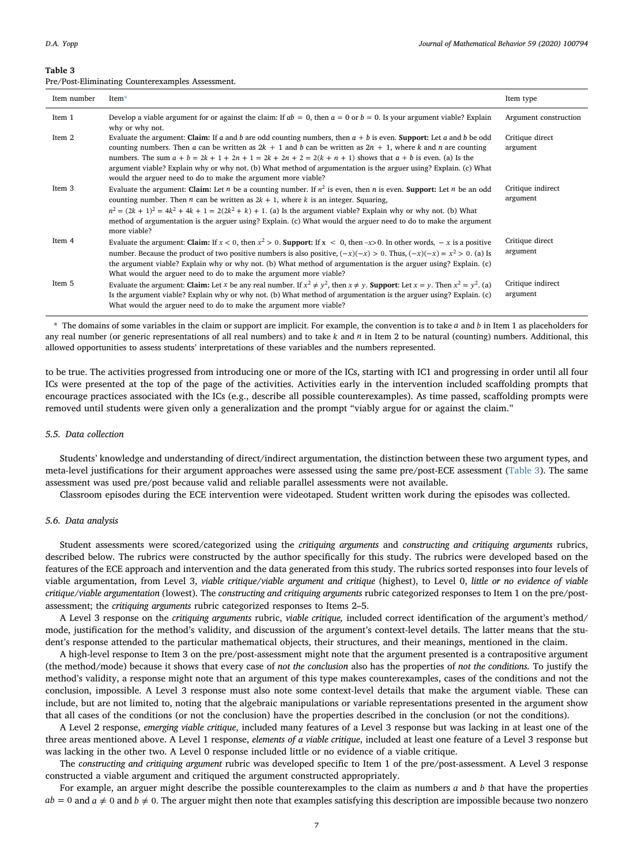#### <span id="page-6-0"></span>Table 3

Pre/Post-Eliminating Counterexamples Assessment.

| Item number | Item*                                                                                                                                                                                                                                                                                                                                                                                                                                                                                                                                            | Item type                     |
|-------------|--------------------------------------------------------------------------------------------------------------------------------------------------------------------------------------------------------------------------------------------------------------------------------------------------------------------------------------------------------------------------------------------------------------------------------------------------------------------------------------------------------------------------------------------------|-------------------------------|
| Item 1      | Develop a viable argument for or against the claim: If $ab = 0$ , then $a = 0$ or $b = 0$ . Is your argument viable? Explain<br>why or why not.                                                                                                                                                                                                                                                                                                                                                                                                  | Argument construction         |
| Item 2      | Evaluate the argument: Claim: If a and b are odd counting numbers, then $a + b$ is even. Support: Let a and b be odd<br>counting numbers. Then a can be written as $2k + 1$ and b can be written as $2n + 1$ , where k and n are counting<br>numbers. The sum $a + b = 2k + 1 + 2n + 1 = 2k + 2n + 2 = 2(k + n + 1)$ shows that $a + b$ is even. (a) Is the<br>argument viable? Explain why or why not. (b) What method of argumentation is the arguer using? Explain. (c) What<br>would the arguer need to do to make the argument more viable? | Critique direct<br>argument   |
| Item 3      | Evaluate the argument: Claim: Let <i>n</i> be a counting number. If $n^2$ is even, then <i>n</i> is even. <b>Support:</b> Let <i>n</i> be an odd<br>counting number. Then <i>n</i> can be written as $2k + 1$ , where <i>k</i> is an integer. Squaring,<br>$n^2 = (2k + 1)^2 = 4k^2 + 4k + 1 = 2(2k^2 + k) + 1$ . (a) Is the argument viable? Explain why or why not. (b) What<br>method of argumentation is the arguer using? Explain. (c) What would the arguer need to do to make the argument<br>more viable?                                | Critique indirect<br>argument |
| Item 4      | Evaluate the argument: Claim: If $x < 0$ , then $x^2 > 0$ . Support: If $x < 0$ , then $-x > 0$ . In other words, $-x$ is a positive<br>number. Because the product of two positive numbers is also positive, $(-x)(-x) > 0$ . Thus, $(-x)(-x) = x^2 > 0$ . (a) Is<br>the argument viable? Explain why or why not. (b) What method of argumentation is the arguer using? Explain. (c)<br>What would the arguer need to do to make the argument more viable?                                                                                      | Critique direct<br>argument   |
| Item 5      | Evaluate the argument: Claim: Let x be any real number. If $x^2 \neq y^2$ , then $x \neq y$ . Support: Let $x = y$ . Then $x^2 = y^2$ . (a)<br>Is the argument viable? Explain why or why not. (b) What method of argumentation is the arguer using? Explain. (c)<br>What would the arguer need to do to make the argument more viable?                                                                                                                                                                                                          | Critique indirect<br>argument |

<span id="page-6-1"></span>\* The domains of some variables in the claim or support are implicit. For example, the convention is to take *a* and *b* in Item 1 as placeholders for any real number (or generic representations of all real numbers) and to take *k* and *n* in Item 2 to be natural (counting) numbers. Additional, this allowed opportunities to assess students' interpretations of these variables and the numbers represented.

to be true. The activities progressed from introducing one or more of the ICs, starting with IC1 and progressing in order until all four ICs were presented at the top of the page of the activities. Activities early in the intervention included scaffolding prompts that encourage practices associated with the ICs (e.g., describe all possible counterexamples). As time passed, scaffolding prompts were removed until students were given only a generalization and the prompt "viably argue for or against the claim."

#### 5.5. Data collection

Students' knowledge and understanding of direct/indirect argumentation, the distinction between these two argument types, and meta-level justifications for their argument approaches were assessed using the same pre/post-ECE assessment [\(Table 3\)](#page-6-0). The same assessment was used pre/post because valid and reliable parallel assessments were not available.

Classroom episodes during the ECE intervention were videotaped. Student written work during the episodes was collected.

## 5.6. Data analysis

Student assessments were scored/categorized using the critiquing arguments and constructing and critiquing arguments rubrics, described below. The rubrics were constructed by the author specifically for this study. The rubrics were developed based on the features of the ECE approach and intervention and the data generated from this study. The rubrics sorted responses into four levels of viable argumentation, from Level 3, viable critique/viable argument and critique (highest), to Level 0, little or no evidence of viable critique/viable argumentation (lowest). The constructing and critiquing arguments rubric categorized responses to Item 1 on the pre/postassessment; the critiquing arguments rubric categorized responses to Items 2–5.

A Level 3 response on the critiquing arguments rubric, viable critique, included correct identification of the argument's method/ mode, justification for the method's validity, and discussion of the argument's context-level details. The latter means that the student's response attended to the particular mathematical objects, their structures, and their meanings, mentioned in the claim.

A high-level response to Item 3 on the pre/post-assessment might note that the argument presented is a contrapositive argument (the method/mode) because it shows that every case of not the conclusion also has the properties of not the conditions. To justify the method's validity, a response might note that an argument of this type makes counterexamples, cases of the conditions and not the conclusion, impossible. A Level 3 response must also note some context-level details that make the argument viable. These can include, but are not limited to, noting that the algebraic manipulations or variable representations presented in the argument show that all cases of the conditions (or not the conclusion) have the properties described in the conclusion (or not the conditions).

A Level 2 response, emerging viable critique, included many features of a Level 3 response but was lacking in at least one of the three areas mentioned above. A Level 1 response, elements of a viable critique, included at least one feature of a Level 3 response but was lacking in the other two. A Level 0 response included little or no evidence of a viable critique.

The constructing and critiquing argument rubric was developed specific to Item 1 of the pre/post-assessment. A Level 3 response constructed a viable argument and critiqued the argument constructed appropriately.

For example, an arguer might describe the possible counterexamples to the claim as numbers *a* and *b* that have the properties  $ab = 0$  and  $a \neq 0$  and  $b \neq 0$ . The arguer might then note that examples satisfying this description are impossible because two nonzero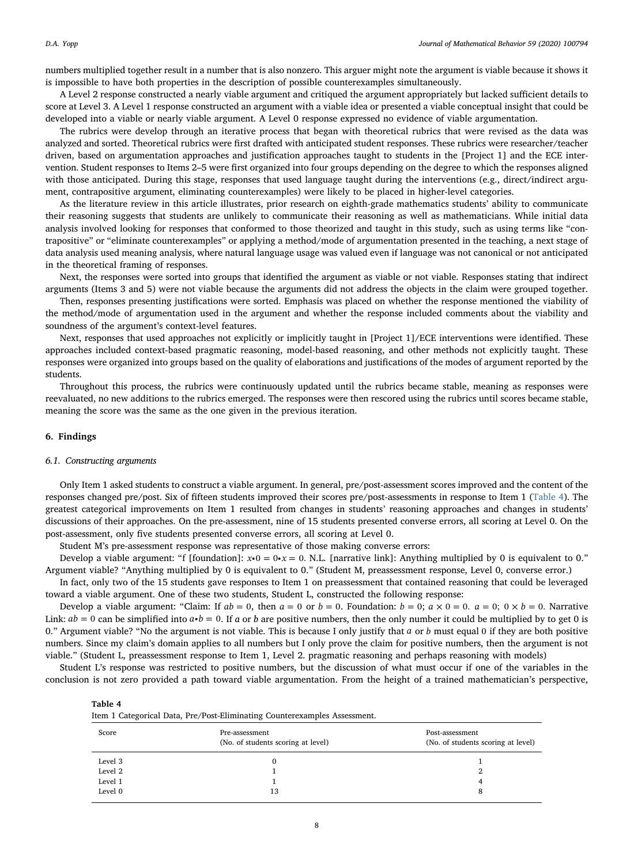numbers multiplied together result in a number that is also nonzero. This arguer might note the argument is viable because it shows it is impossible to have both properties in the description of possible counterexamples simultaneously.

A Level 2 response constructed a nearly viable argument and critiqued the argument appropriately but lacked sufficient details to score at Level 3. A Level 1 response constructed an argument with a viable idea or presented a viable conceptual insight that could be developed into a viable or nearly viable argument. A Level 0 response expressed no evidence of viable argumentation.

The rubrics were develop through an iterative process that began with theoretical rubrics that were revised as the data was analyzed and sorted. Theoretical rubrics were first drafted with anticipated student responses. These rubrics were researcher/teacher driven, based on argumentation approaches and justification approaches taught to students in the [Project 1] and the ECE intervention. Student responses to Items 2–5 were first organized into four groups depending on the degree to which the responses aligned with those anticipated. During this stage, responses that used language taught during the interventions (e.g., direct/indirect argument, contrapositive argument, eliminating counterexamples) were likely to be placed in higher-level categories.

As the literature review in this article illustrates, prior research on eighth-grade mathematics students' ability to communicate their reasoning suggests that students are unlikely to communicate their reasoning as well as mathematicians. While initial data analysis involved looking for responses that conformed to those theorized and taught in this study, such as using terms like "contrapositive" or "eliminate counterexamples" or applying a method/mode of argumentation presented in the teaching, a next stage of data analysis used meaning analysis, where natural language usage was valued even if language was not canonical or not anticipated in the theoretical framing of responses.

Next, the responses were sorted into groups that identified the argument as viable or not viable. Responses stating that indirect arguments (Items 3 and 5) were not viable because the arguments did not address the objects in the claim were grouped together.

Then, responses presenting justifications were sorted. Emphasis was placed on whether the response mentioned the viability of the method/mode of argumentation used in the argument and whether the response included comments about the viability and soundness of the argument's context-level features.

Next, responses that used approaches not explicitly or implicitly taught in [Project 1]/ECE interventions were identified. These approaches included context-based pragmatic reasoning, model-based reasoning, and other methods not explicitly taught. These responses were organized into groups based on the quality of elaborations and justifications of the modes of argument reported by the students.

Throughout this process, the rubrics were continuously updated until the rubrics became stable, meaning as responses were reevaluated, no new additions to the rubrics emerged. The responses were then rescored using the rubrics until scores became stable, meaning the score was the same as the one given in the previous iteration.

## 6. Findings

#### 6.1. Constructing arguments

<span id="page-7-0"></span> $T = 1.1 - 4$ 

Only Item 1 asked students to construct a viable argument. In general, pre/post-assessment scores improved and the content of the responses changed pre/post. Six of fifteen students improved their scores pre/post-assessments in response to Item 1 ([Table 4](#page-7-0)). The greatest categorical improvements on Item 1 resulted from changes in students' reasoning approaches and changes in students' discussions of their approaches. On the pre-assessment, nine of 15 students presented converse errors, all scoring at Level 0. On the post-assessment, only five students presented converse errors, all scoring at Level 0.

Student M's pre-assessment response was representative of those making converse errors:

Develop a viable argument: "f [foundation]:  $x \cdot 0 = 0 \cdot x = 0$ . N.L. [narrative link]: Anything multiplied by 0 is equivalent to 0." Argument viable? "Anything multiplied by 0 is equivalent to 0." (Student M, preassessment response, Level 0, converse error.)

In fact, only two of the 15 students gave responses to Item 1 on preassessment that contained reasoning that could be leveraged toward a viable argument. One of these two students, Student L, constructed the following response:

Develop a viable argument: "Claim: If  $ab = 0$ , then  $a = 0$  or  $b = 0$ . Foundation:  $b = 0$ ;  $a \times 0 = 0$ .  $a = 0$ ;  $0 \times b = 0$ . Narrative Link:  $ab = 0$  can be simplified into  $a \cdot b = 0$ . If a or b are positive numbers, then the only number it could be multiplied by to get 0 is 0." Argument viable? "No the argument is not viable. This is because I only justify that *a* or *b* must equal 0 if they are both positive numbers. Since my claim's domain applies to all numbers but I only prove the claim for positive numbers, then the argument is not viable." (Student L, preassessment response to Item 1, Level 2. pragmatic reasoning and perhaps reasoning with models)

Student L's response was restricted to positive numbers, but the discussion of what must occur if one of the variables in the conclusion is not zero provided a path toward viable argumentation. From the height of a trained mathematician's perspective,

| таріе 4 |                                                                           |  |
|---------|---------------------------------------------------------------------------|--|
|         | Item 1 Categorical Data, Pre/Post-Eliminating Counterexamples Assessment. |  |

| Score   | Pre-assessment<br>(No. of students scoring at level) | Post-assessment<br>(No. of students scoring at level) |
|---------|------------------------------------------------------|-------------------------------------------------------|
| Level 3 |                                                      |                                                       |
| Level 2 |                                                      |                                                       |
| Level 1 |                                                      |                                                       |
| Level 0 | 13                                                   |                                                       |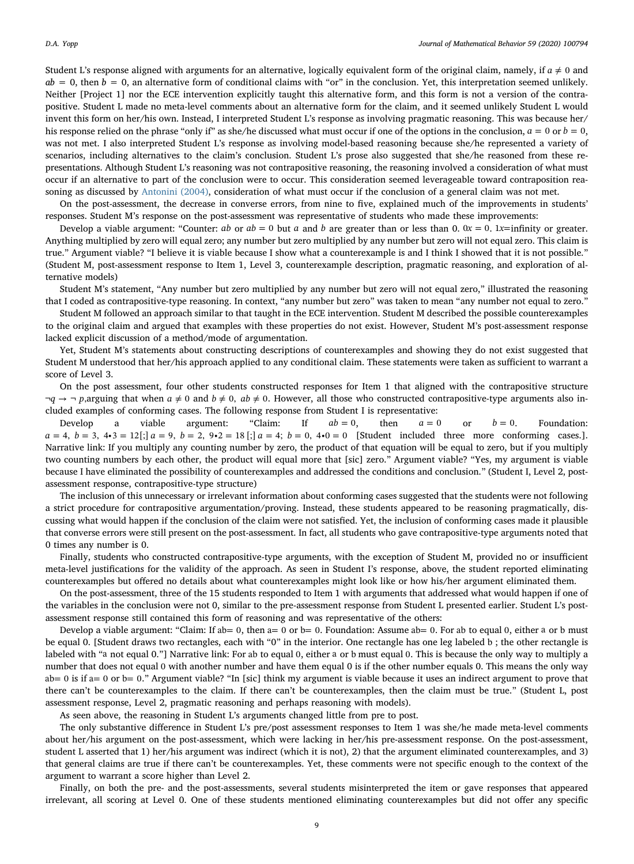Student L's response aligned with arguments for an alternative, logically equivalent form of the original claim, namely, if  $a \neq 0$  and  $ab = 0$ , then  $b = 0$ , an alternative form of conditional claims with "or" in the conclusion. Yet, this interpretation seemed unlikely. Neither [Project 1] nor the ECE intervention explicitly taught this alternative form, and this form is not a version of the contrapositive. Student L made no meta-level comments about an alternative form for the claim, and it seemed unlikely Student L would invent this form on her/his own. Instead, I interpreted Student L's response as involving pragmatic reasoning. This was because her/ his response relied on the phrase "only if" as she/he discussed what must occur if one of the options in the conclusion,  $a = 0$  or  $b = 0$ , was not met. I also interpreted Student L's response as involving model-based reasoning because she/he represented a variety of scenarios, including alternatives to the claim's conclusion. Student L's prose also suggested that she/he reasoned from these representations. Although Student L's reasoning was not contrapositive reasoning, the reasoning involved a consideration of what must occur if an alternative to part of the conclusion were to occur. This consideration seemed leverageable toward contraposition reasoning as discussed by [Antonini \(2004\)](#page-15-2), consideration of what must occur if the conclusion of a general claim was not met.

On the post-assessment, the decrease in converse errors, from nine to five, explained much of the improvements in students' responses. Student M's response on the post-assessment was representative of students who made these improvements:

Develop a viable argument: "Counter: *ab* or  $ab = 0$  but *a* and *b* are greater than or less than 0.  $0x = 0$ . 1*x*=infinity or greater. Anything multiplied by zero will equal zero; any number but zero multiplied by any number but zero will not equal zero. This claim is true." Argument viable? "I believe it is viable because I show what a counterexample is and I think I showed that it is not possible." (Student M, post-assessment response to Item 1, Level 3, counterexample description, pragmatic reasoning, and exploration of alternative models)

Student M's statement, "Any number but zero multiplied by any number but zero will not equal zero," illustrated the reasoning that I coded as contrapositive-type reasoning. In context, "any number but zero" was taken to mean "any number not equal to zero."

Student M followed an approach similar to that taught in the ECE intervention. Student M described the possible counterexamples to the original claim and argued that examples with these properties do not exist. However, Student M's post-assessment response lacked explicit discussion of a method/mode of argumentation.

Yet, Student M's statements about constructing descriptions of counterexamples and showing they do not exist suggested that Student M understood that her/his approach applied to any conditional claim. These statements were taken as sufficient to warrant a score of Level 3.

On the post assessment, four other students constructed responses for Item 1 that aligned with the contrapositive structure  $\neg q \rightarrow \neg p$ ,arguing that when  $a \neq 0$  and  $b \neq 0$ ,  $ab \neq 0$ . However, all those who constructed contrapositive-type arguments also included examples of conforming cases. The following response from Student I is representative:

Develop a viable argument: "Claim: If *ab* = 0, then *a* = 0 or *b* = 0. Foundation:  $a = 4, b = 3, 4 \cdot 3 = 12$ [;]  $a = 9, b = 2, 9 \cdot 2 = 18$  [;]  $a = 4; b = 0, 4 \cdot 0 = 0$  [Student included three more conforming cases.]. Narrative link: If you multiply any counting number by zero, the product of that equation will be equal to zero, but if you multiply two counting numbers by each other, the product will equal more that [sic] zero." Argument viable? "Yes, my argument is viable because I have eliminated the possibility of counterexamples and addressed the conditions and conclusion." (Student I, Level 2, postassessment response, contrapositive-type structure)

The inclusion of this unnecessary or irrelevant information about conforming cases suggested that the students were not following a strict procedure for contrapositive argumentation/proving. Instead, these students appeared to be reasoning pragmatically, discussing what would happen if the conclusion of the claim were not satisfied. Yet, the inclusion of conforming cases made it plausible that converse errors were still present on the post-assessment. In fact, all students who gave contrapositive-type arguments noted that 0 times any number is 0.

Finally, students who constructed contrapositive-type arguments, with the exception of Student M, provided no or insufficient meta-level justifications for the validity of the approach. As seen in Student I's response, above, the student reported eliminating counterexamples but offered no details about what counterexamples might look like or how his/her argument eliminated them.

On the post-assessment, three of the 15 students responded to Item 1 with arguments that addressed what would happen if one of the variables in the conclusion were not 0, similar to the pre-assessment response from Student L presented earlier. Student L's postassessment response still contained this form of reasoning and was representative of the others:

Develop a viable argument: "Claim: If ab = 0, then a= 0 or b = 0. Foundation: Assume ab = 0. For ab to equal 0, either a or b must be equal 0. [Student draws two rectangles, each with "0" in the interior. One rectangle has one leg labeled b ; the other rectangle is labeled with "a not equal 0."] Narrative link: For ab to equal 0, either a or b must equal 0. This is because the only way to multiply a number that does not equal 0 with another number and have them equal 0 is if the other number equals 0. This means the only way  $ab = 0$  is if  $a = 0$  or  $b = 0$ ." Argument viable? "In [sic] think my argument is viable because it uses an indirect argument to prove that there can't be counterexamples to the claim. If there can't be counterexamples, then the claim must be true." (Student L, post assessment response, Level 2, pragmatic reasoning and perhaps reasoning with models).

As seen above, the reasoning in Student L's arguments changed little from pre to post.

The only substantive difference in Student L's pre/post assessment responses to Item 1 was she/he made meta-level comments about her/his argument on the post-assessment, which were lacking in her/his pre-assessment response. On the post-assessment, student L asserted that 1) her/his argument was indirect (which it is not), 2) that the argument eliminated counterexamples, and 3) that general claims are true if there can't be counterexamples. Yet, these comments were not specific enough to the context of the argument to warrant a score higher than Level 2.

Finally, on both the pre- and the post-assessments, several students misinterpreted the item or gave responses that appeared irrelevant, all scoring at Level 0. One of these students mentioned eliminating counterexamples but did not offer any specific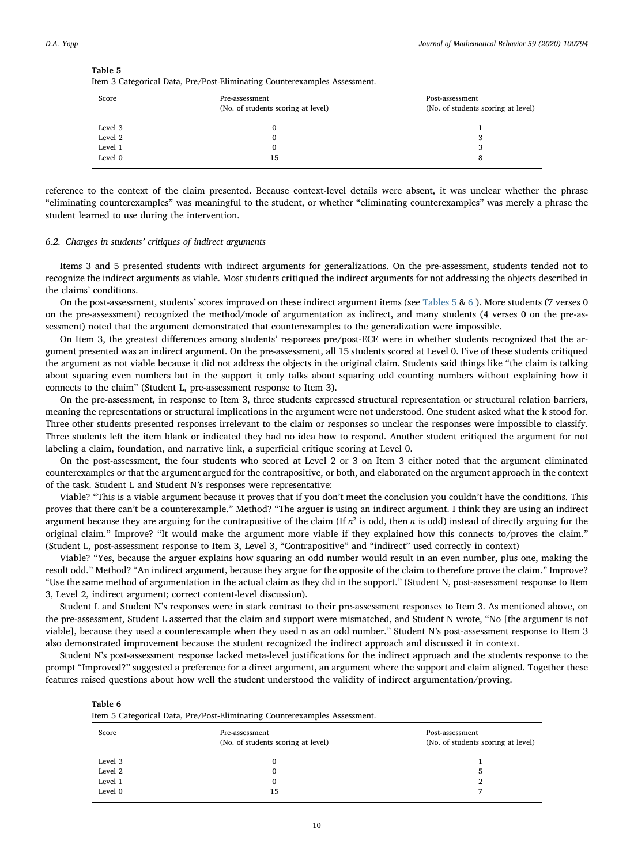<span id="page-9-0"></span>Table 5

| . .     | . .                                                  |                                                       |
|---------|------------------------------------------------------|-------------------------------------------------------|
| Score   | Pre-assessment<br>(No. of students scoring at level) | Post-assessment<br>(No. of students scoring at level) |
| Level 3 |                                                      |                                                       |
| Level 2 |                                                      |                                                       |
| Level 1 | o                                                    | ۰.                                                    |
| Level 0 | 15                                                   | o                                                     |

reference to the context of the claim presented. Because context-level details were absent, it was unclear whether the phrase "eliminating counterexamples" was meaningful to the student, or whether "eliminating counterexamples" was merely a phrase the student learned to use during the intervention.

#### 6.2. Changes in students' critiques of indirect arguments

Items 3 and 5 presented students with indirect arguments for generalizations. On the pre-assessment, students tended not to recognize the indirect arguments as viable. Most students critiqued the indirect arguments for not addressing the objects described in the claims' conditions.

On the post-assessment, students' scores improved on these indirect argument items (see [Tables 5](#page-9-0) & [6](#page-9-1)). More students (7 verses 0 on the pre-assessment) recognized the method/mode of argumentation as indirect, and many students (4 verses 0 on the pre-assessment) noted that the argument demonstrated that counterexamples to the generalization were impossible.

On Item 3, the greatest differences among students' responses pre/post-ECE were in whether students recognized that the argument presented was an indirect argument. On the pre-assessment, all 15 students scored at Level 0. Five of these students critiqued the argument as not viable because it did not address the objects in the original claim. Students said things like "the claim is talking about squaring even numbers but in the support it only talks about squaring odd counting numbers without explaining how it connects to the claim" (Student L, pre-assessment response to Item 3).

On the pre-assessment, in response to Item 3, three students expressed structural representation or structural relation barriers, meaning the representations or structural implications in the argument were not understood. One student asked what the k stood for. Three other students presented responses irrelevant to the claim or responses so unclear the responses were impossible to classify. Three students left the item blank or indicated they had no idea how to respond. Another student critiqued the argument for not labeling a claim, foundation, and narrative link, a superficial critique scoring at Level 0.

On the post-assessment, the four students who scored at Level 2 or 3 on Item 3 either noted that the argument eliminated counterexamples or that the argument argued for the contrapositive, or both, and elaborated on the argument approach in the context of the task. Student L and Student N's responses were representative:

Viable? "This is a viable argument because it proves that if you don't meet the conclusion you couldn't have the conditions. This proves that there can't be a counterexample." Method? "The arguer is using an indirect argument. I think they are using an indirect argument because they are arguing for the contrapositive of the claim (If  $n^2$  is odd, then *n* is odd) instead of directly arguing for the original claim." Improve? "It would make the argument more viable if they explained how this connects to/proves the claim." (Student L, post-assessment response to Item 3, Level 3, "Contrapositive" and "indirect" used correctly in context)

Viable? "Yes, because the arguer explains how squaring an odd number would result in an even number, plus one, making the result odd." Method? "An indirect argument, because they argue for the opposite of the claim to therefore prove the claim." Improve? "Use the same method of argumentation in the actual claim as they did in the support." (Student N, post-assessment response to Item 3, Level 2, indirect argument; correct content-level discussion).

Student L and Student N's responses were in stark contrast to their pre-assessment responses to Item 3. As mentioned above, on the pre-assessment, Student L asserted that the claim and support were mismatched, and Student N wrote, "No [the argument is not viable], because they used a counterexample when they used n as an odd number." Student N's post-assessment response to Item 3 also demonstrated improvement because the student recognized the indirect approach and discussed it in context.

Student N's post-assessment response lacked meta-level justifications for the indirect approach and the students response to the prompt "Improved?" suggested a preference for a direct argument, an argument where the support and claim aligned. Together these features raised questions about how well the student understood the validity of indirect argumentation/proving.

<span id="page-9-1"></span>

| וחו<br>и<br>п |  |
|---------------|--|
|---------------|--|

Item 5 Categorical Data, Pre/Post-Eliminating Counterexamples Assessment.

| $\cdot$ | ັ                                                    |                                                       |
|---------|------------------------------------------------------|-------------------------------------------------------|
| Score   | Pre-assessment<br>(No. of students scoring at level) | Post-assessment<br>(No. of students scoring at level) |
| Level 3 |                                                      |                                                       |
| Level 2 | O                                                    |                                                       |
| Level 1 | υ                                                    |                                                       |
| Level 0 | 15                                                   |                                                       |
|         |                                                      |                                                       |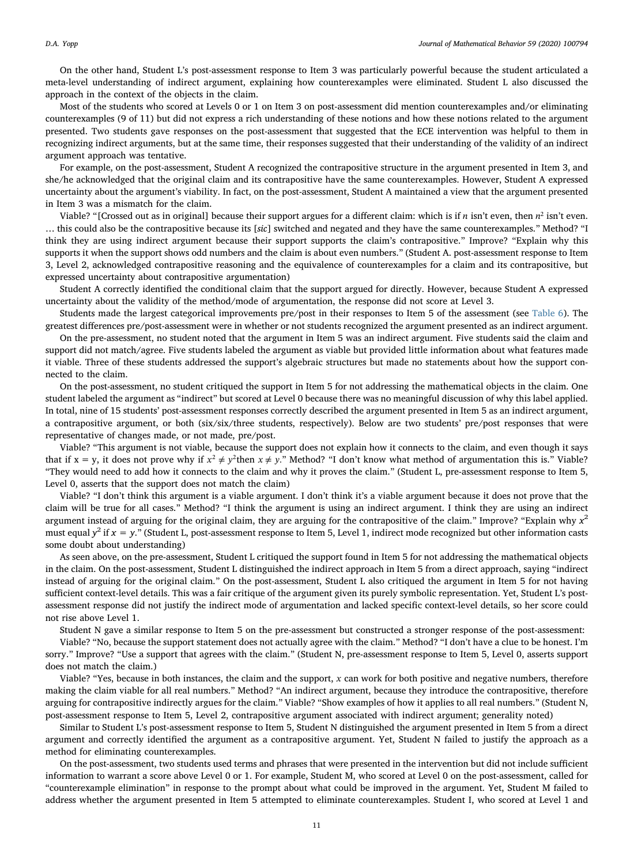On the other hand, Student L's post-assessment response to Item 3 was particularly powerful because the student articulated a meta-level understanding of indirect argument, explaining how counterexamples were eliminated. Student L also discussed the approach in the context of the objects in the claim.

Most of the students who scored at Levels 0 or 1 on Item 3 on post-assessment did mention counterexamples and/or eliminating counterexamples (9 of 11) but did not express a rich understanding of these notions and how these notions related to the argument presented. Two students gave responses on the post-assessment that suggested that the ECE intervention was helpful to them in recognizing indirect arguments, but at the same time, their responses suggested that their understanding of the validity of an indirect argument approach was tentative.

For example, on the post-assessment, Student A recognized the contrapositive structure in the argument presented in Item 3, and she/he acknowledged that the original claim and its contrapositive have the same counterexamples. However, Student A expressed uncertainty about the argument's viability. In fact, on the post-assessment, Student A maintained a view that the argument presented in Item 3 was a mismatch for the claim.

Viable? "[Crossed out as in original] because their support argues for a different claim: which is if *n* isn't even, then  $n^2$  isn't even. … this could also be the contrapositive because its [sic] switched and negated and they have the same counterexamples." Method? "I think they are using indirect argument because their support supports the claim's contrapositive." Improve? "Explain why this supports it when the support shows odd numbers and the claim is about even numbers." (Student A. post-assessment response to Item 3, Level 2, acknowledged contrapositive reasoning and the equivalence of counterexamples for a claim and its contrapositive, but expressed uncertainty about contrapositive argumentation)

Student A correctly identified the conditional claim that the support argued for directly. However, because Student A expressed uncertainty about the validity of the method/mode of argumentation, the response did not score at Level 3.

Students made the largest categorical improvements pre/post in their responses to Item 5 of the assessment (see [Table 6\)](#page-9-1). The greatest differences pre/post-assessment were in whether or not students recognized the argument presented as an indirect argument.

On the pre-assessment, no student noted that the argument in Item 5 was an indirect argument. Five students said the claim and support did not match/agree. Five students labeled the argument as viable but provided little information about what features made it viable. Three of these students addressed the support's algebraic structures but made no statements about how the support connected to the claim.

On the post-assessment, no student critiqued the support in Item 5 for not addressing the mathematical objects in the claim. One student labeled the argument as "indirect" but scored at Level 0 because there was no meaningful discussion of why this label applied. In total, nine of 15 students' post-assessment responses correctly described the argument presented in Item 5 as an indirect argument, a contrapositive argument, or both (six/six/three students, respectively). Below are two students' pre/post responses that were representative of changes made, or not made, pre/post.

Viable? "This argument is not viable, because the support does not explain how it connects to the claim, and even though it says that if  $x = y$ , it does not prove why if  $x^2 \neq y^2$ then  $x \neq y$ ." Method? "I don't know what method of argumentation this is." Viable? "They would need to add how it connects to the claim and why it proves the claim." (Student L, pre-assessment response to Item 5, Level 0, asserts that the support does not match the claim)

Viable? "I don't think this argument is a viable argument. I don't think it's a viable argument because it does not prove that the claim will be true for all cases." Method? "I think the argument is using an indirect argument. I think they are using an indirect argument instead of arguing for the original claim, they are arguing for the contrapositive of the claim." Improve? "Explain why  $x^2$ must equal  $y^2$  if  $x = y$ ." (Student L, post-assessment response to Item 5, Level 1, indirect mode recognized but other information casts some doubt about understanding)

As seen above, on the pre-assessment, Student L critiqued the support found in Item 5 for not addressing the mathematical objects in the claim. On the post-assessment, Student L distinguished the indirect approach in Item 5 from a direct approach, saying "indirect instead of arguing for the original claim." On the post-assessment, Student L also critiqued the argument in Item 5 for not having sufficient context-level details. This was a fair critique of the argument given its purely symbolic representation. Yet, Student L's postassessment response did not justify the indirect mode of argumentation and lacked specific context-level details, so her score could not rise above Level 1.

Student N gave a similar response to Item 5 on the pre-assessment but constructed a stronger response of the post-assessment: Viable? "No, because the support statement does not actually agree with the claim." Method? "I don't have a clue to be honest. I'm sorry." Improve? "Use a support that agrees with the claim." (Student N, pre-assessment response to Item 5, Level 0, asserts support does not match the claim.)

Viable? "Yes, because in both instances, the claim and the support, *x* can work for both positive and negative numbers, therefore making the claim viable for all real numbers." Method? "An indirect argument, because they introduce the contrapositive, therefore arguing for contrapositive indirectly argues for the claim." Viable? "Show examples of how it applies to all real numbers." (Student N, post-assessment response to Item 5, Level 2, contrapositive argument associated with indirect argument; generality noted)

Similar to Student L's post-assessment response to Item 5, Student N distinguished the argument presented in Item 5 from a direct argument and correctly identified the argument as a contrapositive argument. Yet, Student N failed to justify the approach as a method for eliminating counterexamples.

On the post-assessment, two students used terms and phrases that were presented in the intervention but did not include sufficient information to warrant a score above Level 0 or 1. For example, Student M, who scored at Level 0 on the post-assessment, called for "counterexample elimination" in response to the prompt about what could be improved in the argument. Yet, Student M failed to address whether the argument presented in Item 5 attempted to eliminate counterexamples. Student I, who scored at Level 1 and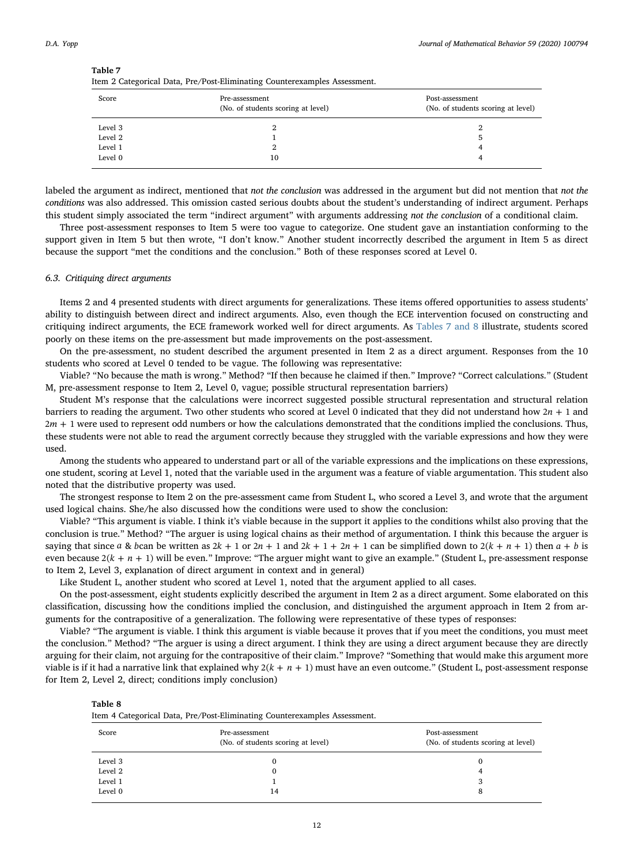<span id="page-11-0"></span>Table 7

|  |  |  | Item 2 Categorical Data, Pre/Post-Eliminating Counterexamples Assessment. |  |
|--|--|--|---------------------------------------------------------------------------|--|
|  |  |  |                                                                           |  |
|  |  |  |                                                                           |  |

| Score   | Pre-assessment<br>(No. of students scoring at level) | Post-assessment<br>(No. of students scoring at level) |
|---------|------------------------------------------------------|-------------------------------------------------------|
| Level 3 | 2                                                    | ∠                                                     |
| Level 2 |                                                      |                                                       |
| Level 1 | 2                                                    | 4                                                     |
| Level 0 | 10                                                   | 4                                                     |

labeled the argument as indirect, mentioned that not the conclusion was addressed in the argument but did not mention that not the conditions was also addressed. This omission casted serious doubts about the student's understanding of indirect argument. Perhaps this student simply associated the term "indirect argument" with arguments addressing not the conclusion of a conditional claim.

Three post-assessment responses to Item 5 were too vague to categorize. One student gave an instantiation conforming to the support given in Item 5 but then wrote, "I don't know." Another student incorrectly described the argument in Item 5 as direct because the support "met the conditions and the conclusion." Both of these responses scored at Level 0.

#### 6.3. Critiquing direct arguments

Items 2 and 4 presented students with direct arguments for generalizations. These items offered opportunities to assess students' ability to distinguish between direct and indirect arguments. Also, even though the ECE intervention focused on constructing and critiquing indirect arguments, the ECE framework worked well for direct arguments. As [Tables 7 and 8](#page-11-0) illustrate, students scored poorly on these items on the pre-assessment but made improvements on the post-assessment.

On the pre-assessment, no student described the argument presented in Item 2 as a direct argument. Responses from the 10 students who scored at Level 0 tended to be vague. The following was representative:

Viable? "No because the math is wrong." Method? "If then because he claimed if then." Improve? "Correct calculations." (Student M, pre-assessment response to Item 2, Level 0, vague; possible structural representation barriers)

Student M's response that the calculations were incorrect suggested possible structural representation and structural relation barriers to reading the argument. Two other students who scored at Level 0 indicated that they did not understand how 2*n* + 1 and 2*m* + 1 were used to represent odd numbers or how the calculations demonstrated that the conditions implied the conclusions. Thus, these students were not able to read the argument correctly because they struggled with the variable expressions and how they were used.

Among the students who appeared to understand part or all of the variable expressions and the implications on these expressions, one student, scoring at Level 1, noted that the variable used in the argument was a feature of viable argumentation. This student also noted that the distributive property was used.

The strongest response to Item 2 on the pre-assessment came from Student L, who scored a Level 3, and wrote that the argument used logical chains. She/he also discussed how the conditions were used to show the conclusion:

Viable? "This argument is viable. I think it's viable because in the support it applies to the conditions whilst also proving that the conclusion is true." Method? "The arguer is using logical chains as their method of argumentation. I think this because the arguer is saying that since  $a \& b$ can be written as  $2k + 1$  or  $2n + 1$  and  $2k + 1 + 2n + 1$  can be simplified down to  $2(k + n + 1)$  then  $a + b$  is even because  $2(k + n + 1)$  will be even." Improve: "The arguer might want to give an example." (Student L, pre-assessment response to Item 2, Level 3, explanation of direct argument in context and in general)

Like Student L, another student who scored at Level 1, noted that the argument applied to all cases.

On the post-assessment, eight students explicitly described the argument in Item 2 as a direct argument. Some elaborated on this classification, discussing how the conditions implied the conclusion, and distinguished the argument approach in Item 2 from arguments for the contrapositive of a generalization. The following were representative of these types of responses:

Viable? "The argument is viable. I think this argument is viable because it proves that if you meet the conditions, you must meet the conclusion." Method? "The arguer is using a direct argument. I think they are using a direct argument because they are directly arguing for their claim, not arguing for the contrapositive of their claim." Improve? "Something that would make this argument more viable is if it had a narrative link that explained why  $2(k + n + 1)$  must have an even outcome." (Student L, post-assessment response for Item 2, Level 2, direct; conditions imply conclusion)

| anı |  |
|-----|--|
|     |  |

Item 4 Categorical Data, Pre/Post-Eliminating Counterexamples Assessment.

| Score   | Pre-assessment<br>(No. of students scoring at level) | Post-assessment<br>(No. of students scoring at level) |
|---------|------------------------------------------------------|-------------------------------------------------------|
| Level 3 |                                                      |                                                       |
| Level 2 |                                                      | 4                                                     |
| Level 1 |                                                      |                                                       |
| Level 0 | 14                                                   | 8                                                     |
|         |                                                      |                                                       |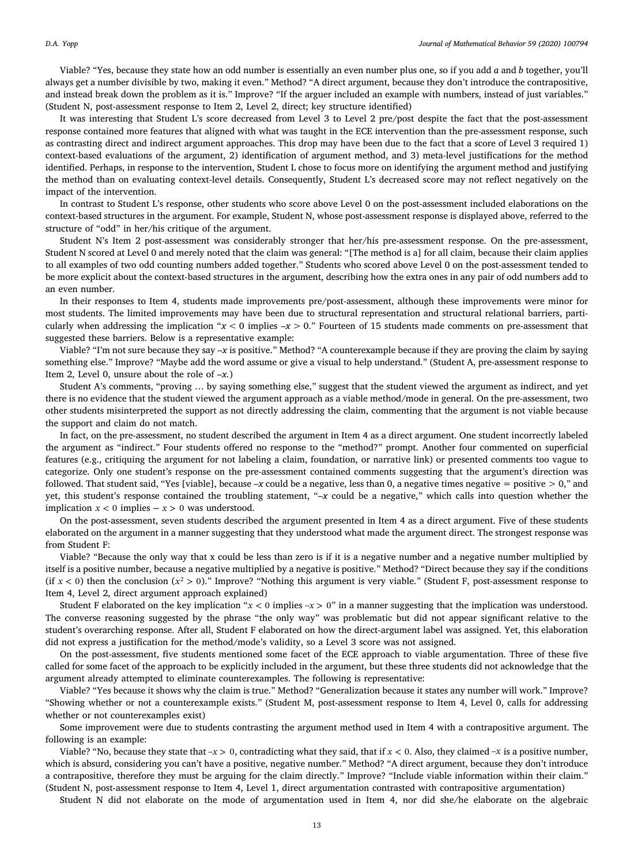Viable? "Yes, because they state how an odd number is essentially an even number plus one, so if you add  $a$  and  $b$  together, you'll always get a number divisible by two, making it even." Method? "A direct argument, because they don't introduce the contrapositive, and instead break down the problem as it is." Improve? "If the arguer included an example with numbers, instead of just variables." (Student N, post-assessment response to Item 2, Level 2, direct; key structure identified)

It was interesting that Student L's score decreased from Level 3 to Level 2 pre/post despite the fact that the post-assessment response contained more features that aligned with what was taught in the ECE intervention than the pre-assessment response, such as contrasting direct and indirect argument approaches. This drop may have been due to the fact that a score of Level 3 required 1) context-based evaluations of the argument, 2) identification of argument method, and 3) meta-level justifications for the method identified. Perhaps, in response to the intervention, Student L chose to focus more on identifying the argument method and justifying the method than on evaluating context-level details. Consequently, Student L's decreased score may not reflect negatively on the impact of the intervention.

In contrast to Student L's response, other students who score above Level 0 on the post-assessment included elaborations on the context-based structures in the argument. For example, Student N, whose post-assessment response is displayed above, referred to the structure of "odd" in her/his critique of the argument.

Student N's Item 2 post-assessment was considerably stronger that her/his pre-assessment response. On the pre-assessment, Student N scored at Level 0 and merely noted that the claim was general: "[The method is a] for all claim, because their claim applies to all examples of two odd counting numbers added together." Students who scored above Level 0 on the post-assessment tended to be more explicit about the context-based structures in the argument, describing how the extra ones in any pair of odd numbers add to an even number.

In their responses to Item 4, students made improvements pre/post-assessment, although these improvements were minor for most students. The limited improvements may have been due to structural representation and structural relational barriers, particularly when addressing the implication " $x < 0$  implies  $-x > 0$ ." Fourteen of 15 students made comments on pre-assessment that suggested these barriers. Below is a representative example:

Viable? "I'm not sure because they say –x is positive." Method? "A counterexample because if they are proving the claim by saying something else." Improve? "Maybe add the word assume or give a visual to help understand." (Student A, pre-assessment response to Item 2, Level 0, unsure about the role of  $-x$ .)

Student A's comments, "proving … by saying something else," suggest that the student viewed the argument as indirect, and yet there is no evidence that the student viewed the argument approach as a viable method/mode in general. On the pre-assessment, two other students misinterpreted the support as not directly addressing the claim, commenting that the argument is not viable because the support and claim do not match.

In fact, on the pre-assessment, no student described the argument in Item 4 as a direct argument. One student incorrectly labeled the argument as "indirect." Four students offered no response to the "method?" prompt. Another four commented on superficial features (e.g., critiquing the argument for not labeling a claim, foundation, or narrative link) or presented comments too vague to categorize. Only one student's response on the pre-assessment contained comments suggesting that the argument's direction was followed. That student said, "Yes [viable], because  $-x$  could be a negative, less than 0, a negative times negative = positive > 0," and yet, this student's response contained the troubling statement, " $-x$  could be a negative," which calls into question whether the implication *x* < 0 implies − *x* > 0 was understood.

On the post-assessment, seven students described the argument presented in Item 4 as a direct argument. Five of these students elaborated on the argument in a manner suggesting that they understood what made the argument direct. The strongest response was from Student F:

Viable? "Because the only way that x could be less than zero is if it is a negative number and a negative number multiplied by itself is a positive number, because a negative multiplied by a negative is positive." Method? "Direct because they say if the conditions (if  $x < 0$ ) then the conclusion  $(x^2 > 0)$ ." Improve? "Nothing this argument is very viable." (Student F, post-assessment response to Item 4, Level 2, direct argument approach explained)

Student F elaborated on the key implication " $x < 0$  implies  $-x > 0$ " in a manner suggesting that the implication was understood. The converse reasoning suggested by the phrase "the only way" was problematic but did not appear significant relative to the student's overarching response. After all, Student F elaborated on how the direct-argument label was assigned. Yet, this elaboration did not express a justification for the method/mode's validity, so a Level 3 score was not assigned.

On the post-assessment, five students mentioned some facet of the ECE approach to viable argumentation. Three of these five called for some facet of the approach to be explicitly included in the argument, but these three students did not acknowledge that the argument already attempted to eliminate counterexamples. The following is representative:

Viable? "Yes because it shows why the claim is true." Method? "Generalization because it states any number will work." Improve? "Showing whether or not a counterexample exists." (Student M, post-assessment response to Item 4, Level 0, calls for addressing whether or not counterexamples exist)

Some improvement were due to students contrasting the argument method used in Item 4 with a contrapositive argument. The following is an example:

Viable? "No, because they state that  $-x > 0$ , contradicting what they said, that if  $x < 0$ . Also, they claimed  $-x$  is a positive number, which is absurd, considering you can't have a positive, negative number." Method? "A direct argument, because they don't introduce a contrapositive, therefore they must be arguing for the claim directly." Improve? "Include viable information within their claim." (Student N, post-assessment response to Item 4, Level 1, direct argumentation contrasted with contrapositive argumentation)

Student N did not elaborate on the mode of argumentation used in Item 4, nor did she/he elaborate on the algebraic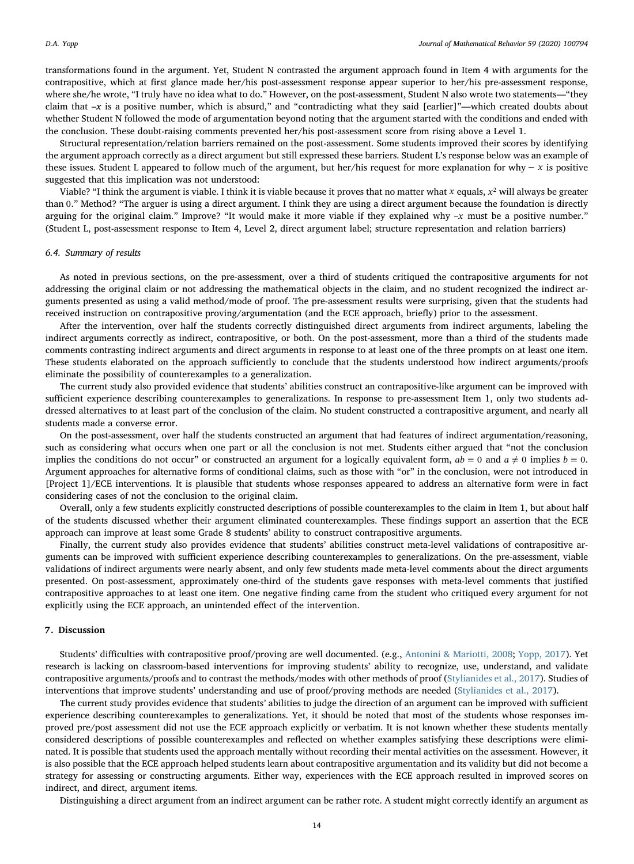transformations found in the argument. Yet, Student N contrasted the argument approach found in Item 4 with arguments for the contrapositive, which at first glance made her/his post-assessment response appear superior to her/his pre-assessment response, where she/he wrote, "I truly have no idea what to do." However, on the post-assessment, Student N also wrote two statements—"they claim that –x is a positive number, which is absurd," and "contradicting what they said [earlier]"—which created doubts about whether Student N followed the mode of argumentation beyond noting that the argument started with the conditions and ended with the conclusion. These doubt-raising comments prevented her/his post-assessment score from rising above a Level 1.

Structural representation/relation barriers remained on the post-assessment. Some students improved their scores by identifying the argument approach correctly as a direct argument but still expressed these barriers. Student L's response below was an example of these issues. Student L appeared to follow much of the argument, but her/his request for more explanation for why − *x* is positive suggested that this implication was not understood:

Viable? "I think the argument is viable. I think it is viable because it proves that no matter what *x* equals,  $x^2$  will always be greater than 0." Method? "The arguer is using a direct argument. I think they are using a direct argument because the foundation is directly arguing for the original claim." Improve? "It would make it more viable if they explained why –*x* must be a positive number." (Student L, post-assessment response to Item 4, Level 2, direct argument label; structure representation and relation barriers)

#### 6.4. Summary of results

As noted in previous sections, on the pre-assessment, over a third of students critiqued the contrapositive arguments for not addressing the original claim or not addressing the mathematical objects in the claim, and no student recognized the indirect arguments presented as using a valid method/mode of proof. The pre-assessment results were surprising, given that the students had received instruction on contrapositive proving/argumentation (and the ECE approach, briefly) prior to the assessment.

After the intervention, over half the students correctly distinguished direct arguments from indirect arguments, labeling the indirect arguments correctly as indirect, contrapositive, or both. On the post-assessment, more than a third of the students made comments contrasting indirect arguments and direct arguments in response to at least one of the three prompts on at least one item. These students elaborated on the approach sufficiently to conclude that the students understood how indirect arguments/proofs eliminate the possibility of counterexamples to a generalization.

The current study also provided evidence that students' abilities construct an contrapositive-like argument can be improved with sufficient experience describing counterexamples to generalizations. In response to pre-assessment Item 1, only two students addressed alternatives to at least part of the conclusion of the claim. No student constructed a contrapositive argument, and nearly all students made a converse error.

On the post-assessment, over half the students constructed an argument that had features of indirect argumentation/reasoning, such as considering what occurs when one part or all the conclusion is not met. Students either argued that "not the conclusion implies the conditions do not occur" or constructed an argument for a logically equivalent form,  $ab = 0$  and  $a \neq 0$  implies  $b = 0$ . Argument approaches for alternative forms of conditional claims, such as those with "or" in the conclusion, were not introduced in [Project 1]/ECE interventions. It is plausible that students whose responses appeared to address an alternative form were in fact considering cases of not the conclusion to the original claim.

Overall, only a few students explicitly constructed descriptions of possible counterexamples to the claim in Item 1, but about half of the students discussed whether their argument eliminated counterexamples. These findings support an assertion that the ECE approach can improve at least some Grade 8 students' ability to construct contrapositive arguments.

Finally, the current study also provides evidence that students' abilities construct meta-level validations of contrapositive arguments can be improved with sufficient experience describing counterexamples to generalizations. On the pre-assessment, viable validations of indirect arguments were nearly absent, and only few students made meta-level comments about the direct arguments presented. On post-assessment, approximately one-third of the students gave responses with meta-level comments that justified contrapositive approaches to at least one item. One negative finding came from the student who critiqued every argument for not explicitly using the ECE approach, an unintended effect of the intervention.

### 7. Discussion

Students' difficulties with contrapositive proof/proving are well documented. (e.g., [Antonini & Mariotti, 2008;](#page-15-1) [Yopp, 2017\)](#page-15-14). Yet research is lacking on classroom-based interventions for improving students' ability to recognize, use, understand, and validate contrapositive arguments/proofs and to contrast the methods/modes with other methods of proof [\(Stylianides et al., 2017\)](#page-15-8). Studies of interventions that improve students' understanding and use of proof/proving methods are needed [\(Stylianides et al., 2017](#page-15-8)).

The current study provides evidence that students' abilities to judge the direction of an argument can be improved with sufficient experience describing counterexamples to generalizations. Yet, it should be noted that most of the students whose responses improved pre/post assessment did not use the ECE approach explicitly or verbatim. It is not known whether these students mentally considered descriptions of possible counterexamples and reflected on whether examples satisfying these descriptions were eliminated. It is possible that students used the approach mentally without recording their mental activities on the assessment. However, it is also possible that the ECE approach helped students learn about contrapositive argumentation and its validity but did not become a strategy for assessing or constructing arguments. Either way, experiences with the ECE approach resulted in improved scores on indirect, and direct, argument items.

Distinguishing a direct argument from an indirect argument can be rather rote. A student might correctly identify an argument as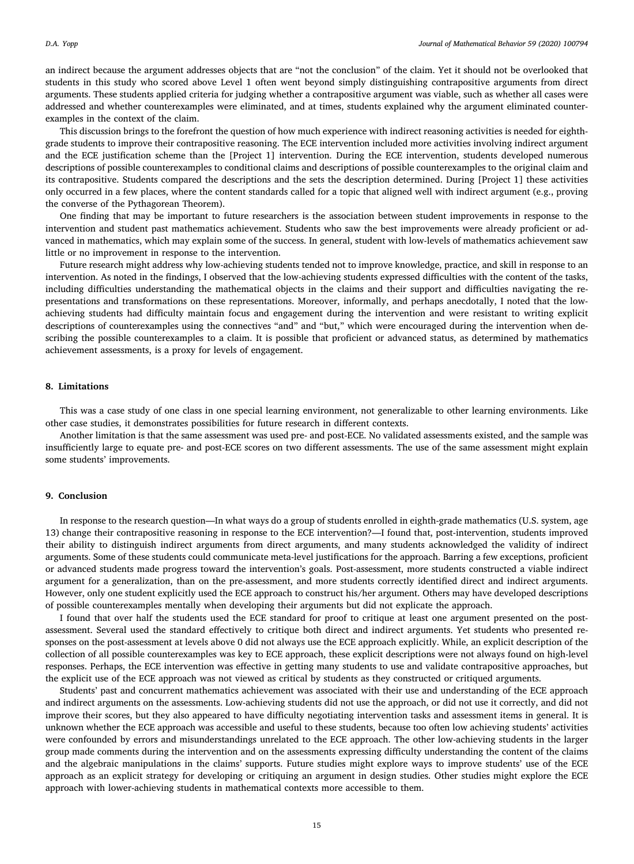an indirect because the argument addresses objects that are "not the conclusion" of the claim. Yet it should not be overlooked that students in this study who scored above Level 1 often went beyond simply distinguishing contrapositive arguments from direct arguments. These students applied criteria for judging whether a contrapositive argument was viable, such as whether all cases were addressed and whether counterexamples were eliminated, and at times, students explained why the argument eliminated counterexamples in the context of the claim.

This discussion brings to the forefront the question of how much experience with indirect reasoning activities is needed for eighthgrade students to improve their contrapositive reasoning. The ECE intervention included more activities involving indirect argument and the ECE justification scheme than the [Project 1] intervention. During the ECE intervention, students developed numerous descriptions of possible counterexamples to conditional claims and descriptions of possible counterexamples to the original claim and its contrapositive. Students compared the descriptions and the sets the description determined. During [Project 1] these activities only occurred in a few places, where the content standards called for a topic that aligned well with indirect argument (e.g., proving the converse of the Pythagorean Theorem).

One finding that may be important to future researchers is the association between student improvements in response to the intervention and student past mathematics achievement. Students who saw the best improvements were already proficient or advanced in mathematics, which may explain some of the success. In general, student with low-levels of mathematics achievement saw little or no improvement in response to the intervention.

Future research might address why low-achieving students tended not to improve knowledge, practice, and skill in response to an intervention. As noted in the findings, I observed that the low-achieving students expressed difficulties with the content of the tasks, including difficulties understanding the mathematical objects in the claims and their support and difficulties navigating the representations and transformations on these representations. Moreover, informally, and perhaps anecdotally, I noted that the lowachieving students had difficulty maintain focus and engagement during the intervention and were resistant to writing explicit descriptions of counterexamples using the connectives "and" and "but," which were encouraged during the intervention when describing the possible counterexamples to a claim. It is possible that proficient or advanced status, as determined by mathematics achievement assessments, is a proxy for levels of engagement.

## 8. Limitations

This was a case study of one class in one special learning environment, not generalizable to other learning environments. Like other case studies, it demonstrates possibilities for future research in different contexts.

Another limitation is that the same assessment was used pre- and post-ECE. No validated assessments existed, and the sample was insufficiently large to equate pre- and post-ECE scores on two different assessments. The use of the same assessment might explain some students' improvements.

## 9. Conclusion

In response to the research question—In what ways do a group of students enrolled in eighth-grade mathematics (U.S. system, age 13) change their contrapositive reasoning in response to the ECE intervention?—I found that, post-intervention, students improved their ability to distinguish indirect arguments from direct arguments, and many students acknowledged the validity of indirect arguments. Some of these students could communicate meta-level justifications for the approach. Barring a few exceptions, proficient or advanced students made progress toward the intervention's goals. Post-assessment, more students constructed a viable indirect argument for a generalization, than on the pre-assessment, and more students correctly identified direct and indirect arguments. However, only one student explicitly used the ECE approach to construct his/her argument. Others may have developed descriptions of possible counterexamples mentally when developing their arguments but did not explicate the approach.

I found that over half the students used the ECE standard for proof to critique at least one argument presented on the postassessment. Several used the standard effectively to critique both direct and indirect arguments. Yet students who presented responses on the post-assessment at levels above 0 did not always use the ECE approach explicitly. While, an explicit description of the collection of all possible counterexamples was key to ECE approach, these explicit descriptions were not always found on high-level responses. Perhaps, the ECE intervention was effective in getting many students to use and validate contrapositive approaches, but the explicit use of the ECE approach was not viewed as critical by students as they constructed or critiqued arguments.

Students' past and concurrent mathematics achievement was associated with their use and understanding of the ECE approach and indirect arguments on the assessments. Low-achieving students did not use the approach, or did not use it correctly, and did not improve their scores, but they also appeared to have difficulty negotiating intervention tasks and assessment items in general. It is unknown whether the ECE approach was accessible and useful to these students, because too often low achieving students' activities were confounded by errors and misunderstandings unrelated to the ECE approach. The other low-achieving students in the larger group made comments during the intervention and on the assessments expressing difficulty understanding the content of the claims and the algebraic manipulations in the claims' supports. Future studies might explore ways to improve students' use of the ECE approach as an explicit strategy for developing or critiquing an argument in design studies. Other studies might explore the ECE approach with lower-achieving students in mathematical contexts more accessible to them.